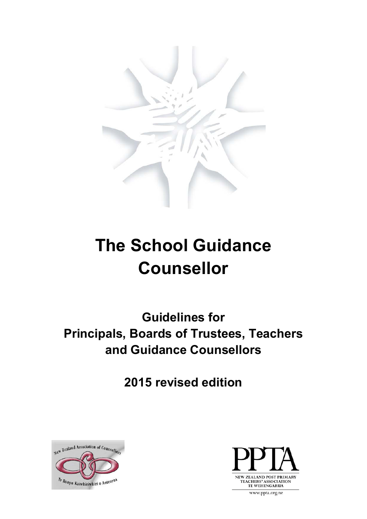

# **The School Guidance Counsellor**

**Guidelines for Principals, Boards of Trustees, Teachers and Guidance Counsellors**

**2015 revised edition**





www.ppta.org.nz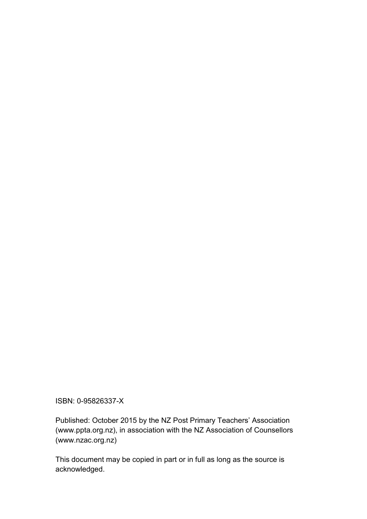ISBN: 0-95826337-X

Published: October 2015 by the NZ Post Primary Teachers' Association (www.ppta.org.nz), in association with the NZ Association of Counsellors (www.nzac.org.nz)

This document may be copied in part or in full as long as the source is acknowledged.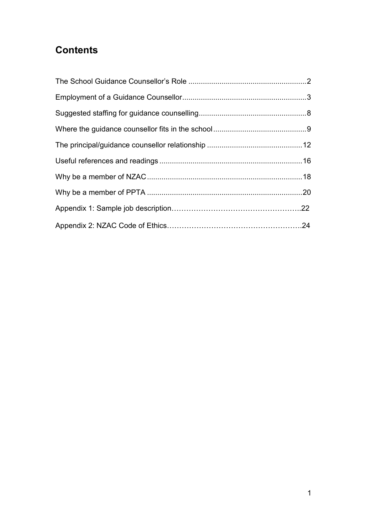# **Contents**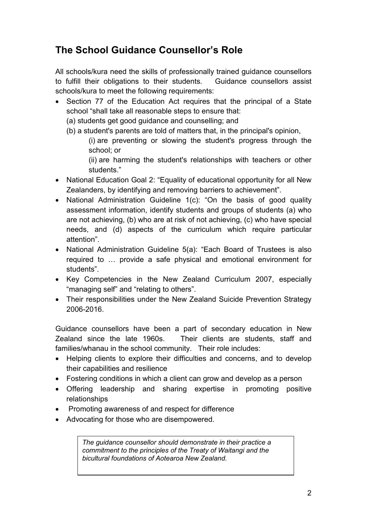# <span id="page-3-0"></span>**The School Guidance Counsellor's Role**

All schools/kura need the skills of professionally trained guidance counsellors to fulfill their obligations to their students. Guidance counsellors assist schools/kura to meet the following requirements:

- Section 77 of the Education Act requires that the principal of a State school "shall take all reasonable steps to ensure that:
	- (a) students get good guidance and counselling; and
	- (b) a student's parents are told of matters that, in the principal's opinion,

(i) are preventing or slowing the student's progress through the school; or

(ii) are harming the student's relationships with teachers or other students."

- National Education Goal 2: "Equality of educational opportunity for all New Zealanders, by identifying and removing barriers to achievement".
- National Administration Guideline 1(c): "On the basis of good quality assessment information, identify students and groups of students (a) who are not achieving, (b) who are at risk of not achieving, (c) who have special needs, and (d) aspects of the curriculum which require particular attention".
- National Administration Guideline 5(a): "Each Board of Trustees is also required to … provide a safe physical and emotional environment for students".
- Key Competencies in the New Zealand Curriculum 2007, especially "managing self" and "relating to others".
- Their responsibilities under the New Zealand Suicide Prevention Strategy 2006-2016.

Guidance counsellors have been a part of secondary education in New Zealand since the late 1960s. Their clients are students, staff and families/whanau in the school community. Their role includes:

- Helping clients to explore their difficulties and concerns, and to develop their capabilities and resilience
- Fostering conditions in which a client can grow and develop as a person
- Offering leadership and sharing expertise in promoting positive relationships
- Promoting awareness of and respect for difference
- Advocating for those who are disempowered.

*The guidance counsellor should demonstrate in their practice a commitment to the principles of the Treaty of Waitangi and the bicultural foundations of Aotearoa New Zealand.*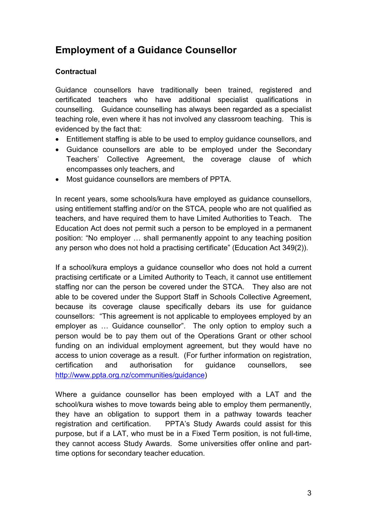# <span id="page-4-0"></span>**Employment of a Guidance Counsellor**

# **Contractual**

Guidance counsellors have traditionally been trained, registered and certificated teachers who have additional specialist qualifications in counselling. Guidance counselling has always been regarded as a specialist teaching role, even where it has not involved any classroom teaching. This is evidenced by the fact that:

- Entitlement staffing is able to be used to employ guidance counsellors, and
- Guidance counsellors are able to be employed under the Secondary Teachers' Collective Agreement, the coverage clause of which encompasses only teachers, and
- Most guidance counsellors are members of PPTA.

In recent years, some schools/kura have employed as guidance counsellors, using entitlement staffing and/or on the STCA, people who are not qualified as teachers, and have required them to have Limited Authorities to Teach. The Education Act does not permit such a person to be employed in a permanent position: "No employer … shall permanently appoint to any teaching position any person who does not hold a practising certificate" (Education Act 349(2)).

If a school/kura employs a guidance counsellor who does not hold a current practising certificate or a Limited Authority to Teach, it cannot use entitlement staffing nor can the person be covered under the STCA. They also are not able to be covered under the Support Staff in Schools Collective Agreement, because its coverage clause specifically debars its use for guidance counsellors: "This agreement is not applicable to employees employed by an employer as … Guidance counsellor". The only option to employ such a person would be to pay them out of the Operations Grant or other school funding on an individual employment agreement, but they would have no access to union coverage as a result. (For further information on registration, certification and authorisation for guidance counsellors, see [http://www.ppta.org.nz/communities/guidance\)](http://www.ppta.org.nz/communities/guidance)

Where a guidance counsellor has been employed with a LAT and the school/kura wishes to move towards being able to employ them permanently, they have an obligation to support them in a pathway towards teacher registration and certification. PPTA's Study Awards could assist for this purpose, but if a LAT, who must be in a Fixed Term position, is not full-time, they cannot access Study Awards. Some universities offer online and parttime options for secondary teacher education.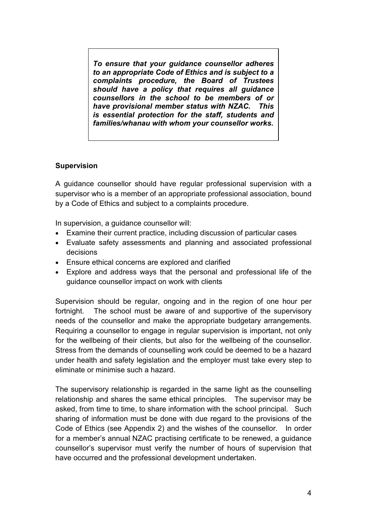*To ensure that your guidance counsellor adheres to an appropriate Code of Ethics and is subject to a complaints procedure, the Board of Trustees should have a policy that requires all guidance counsellors in the school to be members of or have provisional member status with NZAC. This is essential protection for the staff, students and families/whanau with whom your counsellor works.*

# **Supervision**

A guidance counsellor should have regular professional supervision with a supervisor who is a member of an appropriate professional association, bound by a Code of Ethics and subject to a complaints procedure.

In supervision, a guidance counsellor will:

- Examine their current practice, including discussion of particular cases
- Evaluate safety assessments and planning and associated professional decisions
- Ensure ethical concerns are explored and clarified
- Explore and address ways that the personal and professional life of the guidance counsellor impact on work with clients

Supervision should be regular, ongoing and in the region of one hour per fortnight. The school must be aware of and supportive of the supervisory needs of the counsellor and make the appropriate budgetary arrangements. Requiring a counsellor to engage in regular supervision is important, not only for the wellbeing of their clients, but also for the wellbeing of the counsellor. Stress from the demands of counselling work could be deemed to be a hazard under health and safety legislation and the employer must take every step to eliminate or minimise such a hazard.

The supervisory relationship is regarded in the same light as the counselling relationship and shares the same ethical principles. The supervisor may be asked, from time to time, to share information with the school principal. Such sharing of information must be done with due regard to the provisions of the Code of Ethics (see Appendix 2) and the wishes of the counsellor. In order for a member's annual NZAC practising certificate to be renewed, a guidance counsellor's supervisor must verify the number of hours of supervision that have occurred and the professional development undertaken.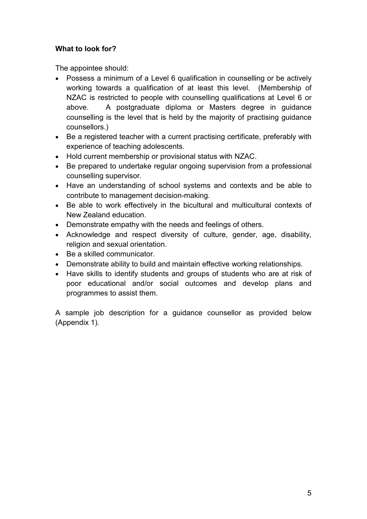# **What to look for?**

The appointee should:

- Possess a minimum of a Level 6 qualification in counselling or be actively working towards a qualification of at least this level. (Membership of NZAC is restricted to people with counselling qualifications at Level 6 or above. A postgraduate diploma or Masters degree in guidance counselling is the level that is held by the majority of practising guidance counsellors.)
- Be a registered teacher with a current practising certificate, preferably with experience of teaching adolescents.
- Hold current membership or provisional status with NZAC.
- Be prepared to undertake regular ongoing supervision from a professional counselling supervisor.
- Have an understanding of school systems and contexts and be able to contribute to management decision-making.
- Be able to work effectively in the bicultural and multicultural contexts of New Zealand education.
- Demonstrate empathy with the needs and feelings of others.
- Acknowledge and respect diversity of culture, gender, age, disability, religion and sexual orientation.
- Be a skilled communicator.
- Demonstrate ability to build and maintain effective working relationships.
- Have skills to identify students and groups of students who are at risk of poor educational and/or social outcomes and develop plans and programmes to assist them.

A sample job description for a guidance counsellor as provided below (Appendix 1).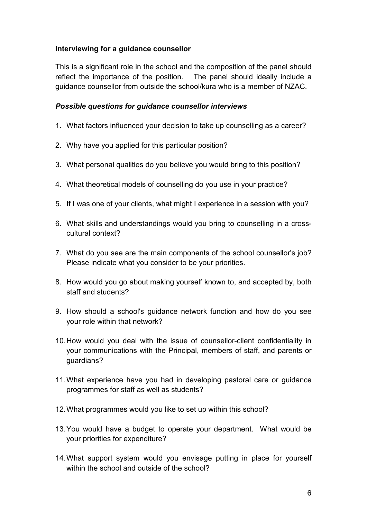# **Interviewing for a guidance counsellor**

This is a significant role in the school and the composition of the panel should reflect the importance of the position. The panel should ideally include a guidance counsellor from outside the school/kura who is a member of NZAC.

### *Possible questions for guidance counsellor interviews*

- 1. What factors influenced your decision to take up counselling as a career?
- 2. Why have you applied for this particular position?
- 3. What personal qualities do you believe you would bring to this position?
- 4. What theoretical models of counselling do you use in your practice?
- 5. If I was one of your clients, what might I experience in a session with you?
- 6. What skills and understandings would you bring to counselling in a crosscultural context?
- 7. What do you see are the main components of the school counsellor's job? Please indicate what you consider to be your priorities.
- 8. How would you go about making yourself known to, and accepted by, both staff and students?
- 9. How should a school's guidance network function and how do you see your role within that network?
- 10.How would you deal with the issue of counsellor-client confidentiality in your communications with the Principal, members of staff, and parents or quardians?
- 11.What experience have you had in developing pastoral care or guidance programmes for staff as well as students?
- 12.What programmes would you like to set up within this school?
- 13.You would have a budget to operate your department. What would be your priorities for expenditure?
- 14.What support system would you envisage putting in place for yourself within the school and outside of the school?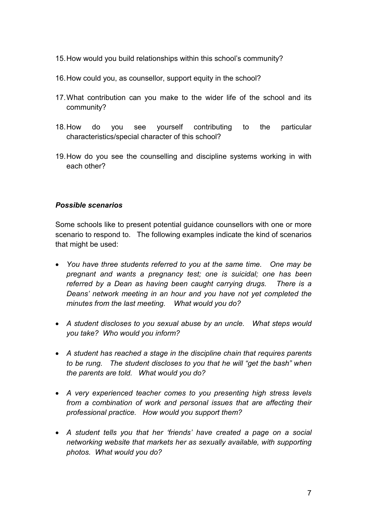- 15.How would you build relationships within this school's community?
- 16. How could you, as counsellor, support equity in the school?
- 17.What contribution can you make to the wider life of the school and its community?
- 18.How do you see yourself contributing to the particular characteristics/special character of this school?
- 19.How do you see the counselling and discipline systems working in with each other?

# *Possible scenarios*

Some schools like to present potential guidance counsellors with one or more scenario to respond to. The following examples indicate the kind of scenarios that might be used:

- *You have three students referred to you at the same time. One may be pregnant and wants a pregnancy test; one is suicidal; one has been referred by a Dean as having been caught carrying drugs. There is a Deans' network meeting in an hour and you have not yet completed the minutes from the last meeting. What would you do?*
- *A student discloses to you sexual abuse by an uncle. What steps would you take? Who would you inform?*
- *A student has reached a stage in the discipline chain that requires parents to be rung. The student discloses to you that he will "get the bash" when the parents are told. What would you do?*
- *A very experienced teacher comes to you presenting high stress levels from a combination of work and personal issues that are affecting their professional practice. How would you support them?*
- *A student tells you that her 'friends' have created a page on a social networking website that markets her as sexually available, with supporting photos. What would you do?*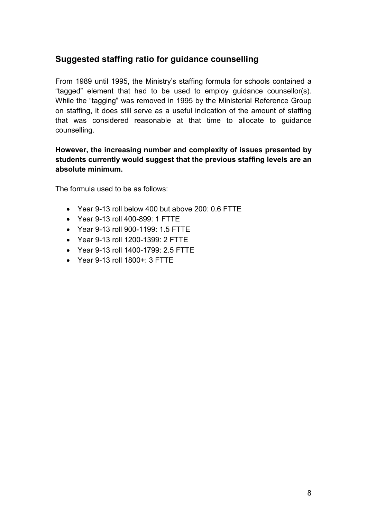# <span id="page-9-0"></span>**Suggested staffing ratio for guidance counselling**

From 1989 until 1995, the Ministry's staffing formula for schools contained a "tagged" element that had to be used to employ guidance counsellor(s). While the "tagging" was removed in 1995 by the Ministerial Reference Group on staffing, it does still serve as a useful indication of the amount of staffing that was considered reasonable at that time to allocate to guidance counselling.

# **However, the increasing number and complexity of issues presented by students currently would suggest that the previous staffing levels are an absolute minimum.**

The formula used to be as follows:

- Year 9-13 roll below 400 but above 200: 0.6 FTTE
- Year 9-13 roll 400-899: 1 FTTE
- Year 9-13 roll 900-1199: 1.5 FTTE
- Year 9-13 roll 1200-1399: 2 FTTE
- Year 9-13 roll 1400-1799: 2.5 FTTE
- Year 9-13 roll 1800+: 3 FTTE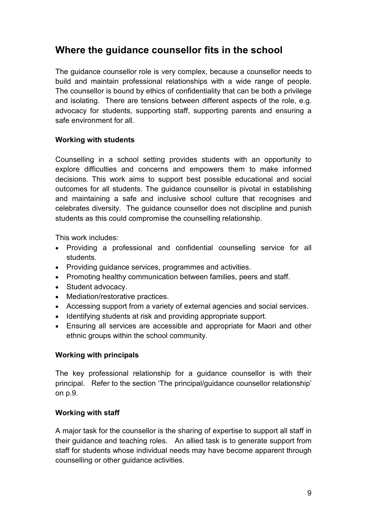# <span id="page-10-0"></span>**Where the guidance counsellor fits in the school**

The guidance counsellor role is very complex, because a counsellor needs to build and maintain professional relationships with a wide range of people. The counsellor is bound by ethics of confidentiality that can be both a privilege and isolating. There are tensions between different aspects of the role, e.g. advocacy for students, supporting staff, supporting parents and ensuring a safe environment for all.

# **Working with students**

Counselling in a school setting provides students with an opportunity to explore difficulties and concerns and empowers them to make informed decisions. This work aims to support best possible educational and social outcomes for all students. The guidance counsellor is pivotal in establishing and maintaining a safe and inclusive school culture that recognises and celebrates diversity. The guidance counsellor does not discipline and punish students as this could compromise the counselling relationship.

This work includes:

- Providing a professional and confidential counselling service for all students.
- Providing guidance services, programmes and activities.
- Promoting healthy communication between families, peers and staff.
- Student advocacy.
- Mediation/restorative practices.
- Accessing support from a variety of external agencies and social services.
- Identifying students at risk and providing appropriate support.
- Ensuring all services are accessible and appropriate for Maori and other ethnic groups within the school community.

# **Working with principals**

The key professional relationship for a guidance counsellor is with their principal. Refer to the section 'The principal/guidance counsellor relationship' on p.9.

### **Working with staff**

A major task for the counsellor is the sharing of expertise to support all staff in their guidance and teaching roles. An allied task is to generate support from staff for students whose individual needs may have become apparent through counselling or other guidance activities.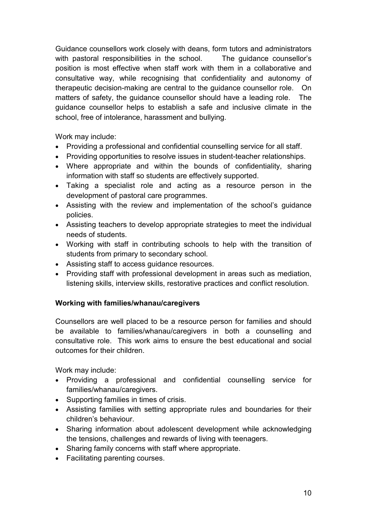Guidance counsellors work closely with deans, form tutors and administrators with pastoral responsibilities in the school. The quidance counsellor's position is most effective when staff work with them in a collaborative and consultative way, while recognising that confidentiality and autonomy of therapeutic decision-making are central to the guidance counsellor role. On matters of safety, the guidance counsellor should have a leading role. The guidance counsellor helps to establish a safe and inclusive climate in the school, free of intolerance, harassment and bullying.

Work may include:

- Providing a professional and confidential counselling service for all staff.
- Providing opportunities to resolve issues in student-teacher relationships.
- Where appropriate and within the bounds of confidentiality, sharing information with staff so students are effectively supported.
- Taking a specialist role and acting as a resource person in the development of pastoral care programmes.
- Assisting with the review and implementation of the school's guidance policies.
- Assisting teachers to develop appropriate strategies to meet the individual needs of students.
- Working with staff in contributing schools to help with the transition of students from primary to secondary school.
- Assisting staff to access guidance resources.
- Providing staff with professional development in areas such as mediation, listening skills, interview skills, restorative practices and conflict resolution.

# **Working with families/whanau/caregivers**

Counsellors are well placed to be a resource person for families and should be available to families/whanau/caregivers in both a counselling and consultative role. This work aims to ensure the best educational and social outcomes for their children.

Work may include:

- Providing a professional and confidential counselling service for families/whanau/caregivers.
- Supporting families in times of crisis.
- Assisting families with setting appropriate rules and boundaries for their children's behaviour.
- Sharing information about adolescent development while acknowledging the tensions, challenges and rewards of living with teenagers.
- Sharing family concerns with staff where appropriate.
- Facilitating parenting courses.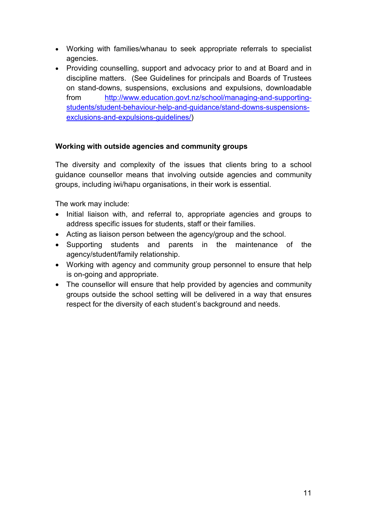- Working with families/whanau to seek appropriate referrals to specialist agencies.
- Providing counselling, support and advocacy prior to and at Board and in discipline matters. (See Guidelines for principals and Boards of Trustees on stand-downs, suspensions, exclusions and expulsions, downloadable from [http://www.education.govt.nz/school/managing-and-supporting](http://www.education.govt.nz/school/managing-and-supporting-students/student-behaviour-help-and-guidance/stand-downs-suspensions-exclusions-and-expulsions-guidelines/)[students/student-behaviour-help-and-guidance/stand-downs-suspensions](http://www.education.govt.nz/school/managing-and-supporting-students/student-behaviour-help-and-guidance/stand-downs-suspensions-exclusions-and-expulsions-guidelines/)[exclusions-and-expulsions-guidelines/\)](http://www.education.govt.nz/school/managing-and-supporting-students/student-behaviour-help-and-guidance/stand-downs-suspensions-exclusions-and-expulsions-guidelines/)

# **Working with outside agencies and community groups**

The diversity and complexity of the issues that clients bring to a school guidance counsellor means that involving outside agencies and community groups, including iwi/hapu organisations, in their work is essential.

The work may include:

- Initial liaison with, and referral to, appropriate agencies and groups to address specific issues for students, staff or their families.
- Acting as liaison person between the agency/group and the school.
- Supporting students and parents in the maintenance of the agency/student/family relationship.
- Working with agency and community group personnel to ensure that help is on-going and appropriate.
- The counsellor will ensure that help provided by agencies and community groups outside the school setting will be delivered in a way that ensures respect for the diversity of each student's background and needs.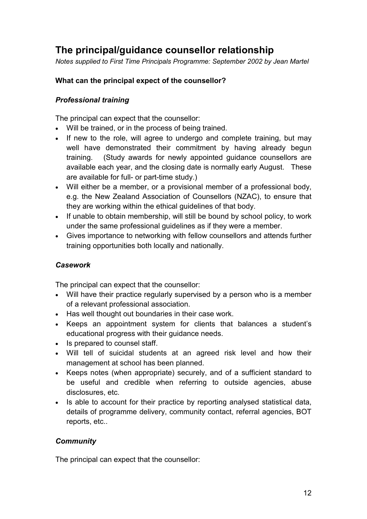# <span id="page-13-0"></span>**The principal/guidance counsellor relationship**

*Notes supplied to First Time Principals Programme: September 2002 by Jean Martel*

# **What can the principal expect of the counsellor?**

# *Professional training*

The principal can expect that the counsellor:

- Will be trained, or in the process of being trained.
- If new to the role, will agree to undergo and complete training, but may well have demonstrated their commitment by having already begun training. (Study awards for newly appointed guidance counsellors are available each year, and the closing date is normally early August. These are available for full- or part-time study.)
- Will either be a member, or a provisional member of a professional body, e.g. the New Zealand Association of Counsellors (NZAC), to ensure that they are working within the ethical guidelines of that body.
- If unable to obtain membership, will still be bound by school policy, to work under the same professional guidelines as if they were a member.
- Gives importance to networking with fellow counsellors and attends further training opportunities both locally and nationally.

# *Casework*

The principal can expect that the counsellor:

- Will have their practice regularly supervised by a person who is a member of a relevant professional association.
- Has well thought out boundaries in their case work.
- Keeps an appointment system for clients that balances a student's educational progress with their guidance needs.
- Is prepared to counsel staff.
- Will tell of suicidal students at an agreed risk level and how their management at school has been planned.
- Keeps notes (when appropriate) securely, and of a sufficient standard to be useful and credible when referring to outside agencies, abuse disclosures, etc.
- Is able to account for their practice by reporting analysed statistical data, details of programme delivery, community contact, referral agencies, BOT reports, etc..

# *Community*

The principal can expect that the counsellor: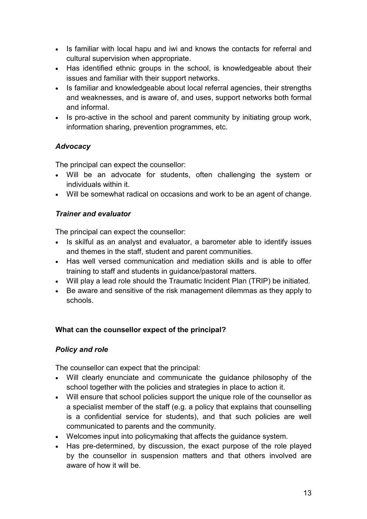- Is familiar with local hapu and iwi and knows the contacts for referral and cultural supervision when appropriate.
- Has identified ethnic groups in the school, is knowledgeable about their issues and familiar with their support networks.
- Is familiar and knowledgeable about local referral agencies, their strengths and weaknesses, and is aware of, and uses, support networks both formal and informal.
- Is pro-active in the school and parent community by initiating group work, information sharing, prevention programmes, etc.

# *Advocacy*

The principal can expect the counsellor:

- Will be an advocate for students, often challenging the system or individuals within it.
- Will be somewhat radical on occasions and work to be an agent of change.

# *Trainer and evaluator*

The principal can expect the counsellor:

- Is skilful as an analyst and evaluator, a barometer able to identify issues and themes in the staff, student and parent communities.
- Has well versed communication and mediation skills and is able to offer training to staff and students in guidance/pastoral matters.
- Will play a lead role should the Traumatic Incident Plan (TRIP) be initiated.
- Be aware and sensitive of the risk management dilemmas as they apply to schools.

# **What can the counsellor expect of the principal?**

# *Policy and role*

The counsellor can expect that the principal:

- Will clearly enunciate and communicate the guidance philosophy of the school together with the policies and strategies in place to action it.
- Will ensure that school policies support the unique role of the counsellor as a specialist member of the staff (e.g. a policy that explains that counselling is a confidential service for students), and that such policies are well communicated to parents and the community.
- Welcomes input into policymaking that affects the guidance system.
- Has pre-determined, by discussion, the exact purpose of the role played by the counsellor in suspension matters and that others involved are aware of how it will be.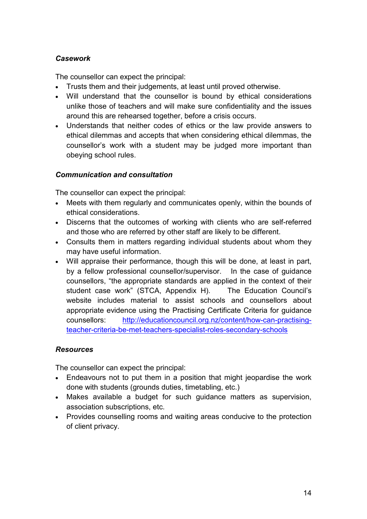# *Casework*

The counsellor can expect the principal:

- Trusts them and their judgements, at least until proved otherwise.
- Will understand that the counsellor is bound by ethical considerations unlike those of teachers and will make sure confidentiality and the issues around this are rehearsed together, before a crisis occurs.
- Understands that neither codes of ethics or the law provide answers to ethical dilemmas and accepts that when considering ethical dilemmas, the counsellor's work with a student may be judged more important than obeying school rules.

# *Communication and consultation*

The counsellor can expect the principal:

- Meets with them regularly and communicates openly, within the bounds of ethical considerations.
- Discerns that the outcomes of working with clients who are self-referred and those who are referred by other staff are likely to be different.
- Consults them in matters regarding individual students about whom they may have useful information.
- Will appraise their performance, though this will be done, at least in part, by a fellow professional counsellor/supervisor. In the case of guidance counsellors, "the appropriate standards are applied in the context of their student case work" (STCA, Appendix H). The Education Council's website includes material to assist schools and counsellors about appropriate evidence using the Practising Certificate Criteria for guidance counsellors: [http://educationcouncil.org.nz/content/how-can-practising](http://educationcouncil.org.nz/content/how-can-practising-teacher-criteria-be-met-teachers-specialist-roles-secondary-schools)[teacher-criteria-be-met-teachers-specialist-roles-secondary-schools](http://educationcouncil.org.nz/content/how-can-practising-teacher-criteria-be-met-teachers-specialist-roles-secondary-schools)

# *Resources*

The counsellor can expect the principal:

- Endeavours not to put them in a position that might jeopardise the work done with students (grounds duties, timetabling, etc.)
- Makes available a budget for such guidance matters as supervision, association subscriptions, etc.
- Provides counselling rooms and waiting areas conducive to the protection of client privacy.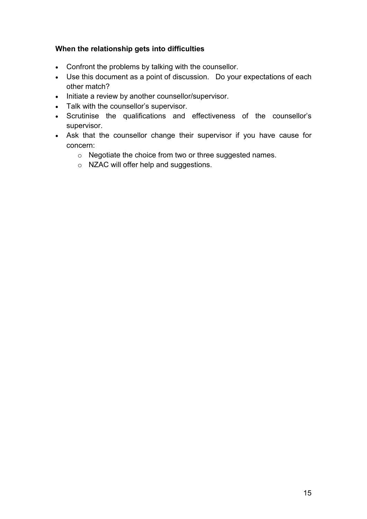# **When the relationship gets into difficulties**

- Confront the problems by talking with the counsellor.
- Use this document as a point of discussion. Do your expectations of each other match?
- Initiate a review by another counsellor/supervisor.
- Talk with the counsellor's supervisor.
- Scrutinise the qualifications and effectiveness of the counsellor's supervisor.
- Ask that the counsellor change their supervisor if you have cause for concern:
	- o Negotiate the choice from two or three suggested names.
	- o NZAC will offer help and suggestions.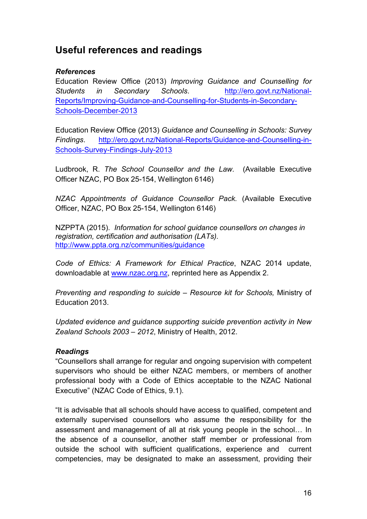# <span id="page-17-0"></span>**Useful references and readings**

### *References*

Education Review Office (2013) *Improving Guidance and Counselling for Students in Secondary Schools*. [http://ero.govt.nz/National-](http://ero.govt.nz/National-Reports/Improving-Guidance-and-Counselling-for-Students-in-Secondary-Schools-December-2013)[Reports/Improving-Guidance-and-Counselling-for-Students-in-Secondary-](http://ero.govt.nz/National-Reports/Improving-Guidance-and-Counselling-for-Students-in-Secondary-Schools-December-2013)[Schools-December-2013](http://ero.govt.nz/National-Reports/Improving-Guidance-and-Counselling-for-Students-in-Secondary-Schools-December-2013)

Education Review Office (2013) *Guidance and Counselling in Schools: Survey Findings*. [http://ero.govt.nz/National-Reports/Guidance-and-Counselling-in-](http://ero.govt.nz/National-Reports/Guidance-and-Counselling-in-Schools-Survey-Findings-July-2013)[Schools-Survey-Findings-July-2013](http://ero.govt.nz/National-Reports/Guidance-and-Counselling-in-Schools-Survey-Findings-July-2013)

Ludbrook, R. *The School Counsellor and the Law.* (Available Executive Officer NZAC, PO Box 25-154, Wellington 6146)

*NZAC Appointments of Guidance Counsellor Pack.* (Available Executive Officer, NZAC, PO Box 25-154, Wellington 6146)

NZPPTA (2015). *Information for school guidance counsellors on changes in registration, certification and authorisation (LATs).* <http://www.ppta.org.nz/communities/guidance>

*Code of Ethics: A Framework for Ethical Practice*, NZAC 2014 update, downloadable at [www.nzac.org.nz,](http://www.nzac.org.nz/) reprinted here as Appendix 2.

*Preventing and responding to suicide – Resource kit for Schools,* Ministry of Education 2013.

*Updated evidence and guidance supporting suicide prevention activity in New Zealand Schools 2003 – 2012*, Ministry of Health, 2012.

# *Readings*

"Counsellors shall arrange for regular and ongoing supervision with competent supervisors who should be either NZAC members, or members of another professional body with a Code of Ethics acceptable to the NZAC National Executive" (NZAC Code of Ethics, 9.1).

"It is advisable that all schools should have access to qualified, competent and externally supervised counsellors who assume the responsibility for the assessment and management of all at risk young people in the school… In the absence of a counsellor, another staff member or professional from outside the school with sufficient qualifications, experience and current competencies, may be designated to make an assessment, providing their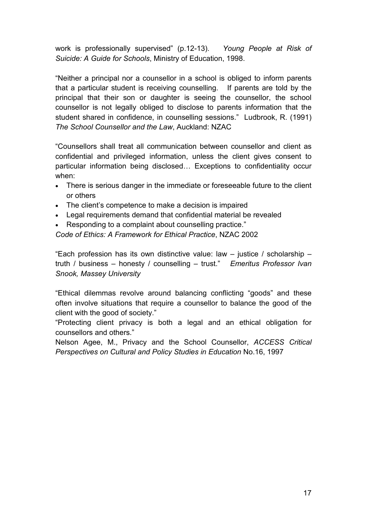work is professionally supervised" (p.12-13). *Young People at Risk of Suicide: A Guide for Schools*, Ministry of Education, 1998.

"Neither a principal nor a counsellor in a school is obliged to inform parents that a particular student is receiving counselling. If parents are told by the principal that their son or daughter is seeing the counsellor, the school counsellor is not legally obliged to disclose to parents information that the student shared in confidence, in counselling sessions." Ludbrook, R. (1991) *The School Counsellor and the Law*, Auckland: NZAC

"Counsellors shall treat all communication between counsellor and client as confidential and privileged information, unless the client gives consent to particular information being disclosed… Exceptions to confidentiality occur when:

- There is serious danger in the immediate or foreseeable future to the client or others
- The client's competence to make a decision is impaired
- Legal requirements demand that confidential material be revealed
- Responding to a complaint about counselling practice."

*Code of Ethics: A Framework for Ethical Practice*, NZAC 2002

"Each profession has its own distinctive value: law  $-$  justice / scholarship  $$ truth / business – honesty / counselling – trust." *Emeritus Professor Ivan Snook, Massey University*

"Ethical dilemmas revolve around balancing conflicting "goods" and these often involve situations that require a counsellor to balance the good of the client with the good of society."

"Protecting client privacy is both a legal and an ethical obligation for counsellors and others."

<span id="page-18-0"></span>Nelson Agee, M., Privacy and the School Counsellor, *ACCESS Critical Perspectives on Cultural and Policy Studies in Education* No.16, 1997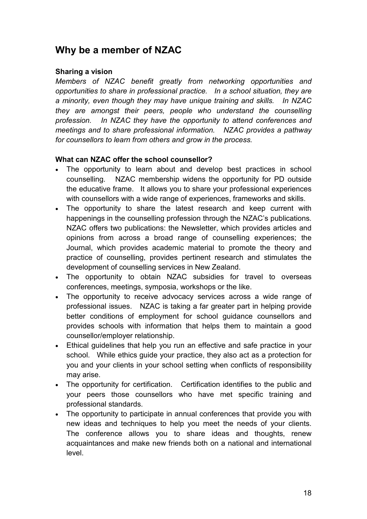# **Why be a member of NZAC**

### **Sharing a vision**

*Members of NZAC benefit greatly from networking opportunities and opportunities to share in professional practice. In a school situation, they are a minority, even though they may have unique training and skills. In NZAC they are amongst their peers, people who understand the counselling profession. In NZAC they have the opportunity to attend conferences and meetings and to share professional information. NZAC provides a pathway for counsellors to learn from others and grow in the process.*

### **What can NZAC offer the school counsellor?**

- The opportunity to learn about and develop best practices in school counselling. NZAC membership widens the opportunity for PD outside the educative frame. It allows you to share your professional experiences with counsellors with a wide range of experiences, frameworks and skills.
- The opportunity to share the latest research and keep current with happenings in the counselling profession through the NZAC's publications. NZAC offers two publications: the Newsletter, which provides articles and opinions from across a broad range of counselling experiences; the Journal, which provides academic material to promote the theory and practice of counselling, provides pertinent research and stimulates the development of counselling services in New Zealand.
- The opportunity to obtain NZAC subsidies for travel to overseas conferences, meetings, symposia, workshops or the like.
- The opportunity to receive advocacy services across a wide range of professional issues. NZAC is taking a far greater part in helping provide better conditions of employment for school guidance counsellors and provides schools with information that helps them to maintain a good counsellor/employer relationship.
- Ethical guidelines that help you run an effective and safe practice in your school. While ethics guide your practice, they also act as a protection for you and your clients in your school setting when conflicts of responsibility may arise.
- The opportunity for certification. Certification identifies to the public and your peers those counsellors who have met specific training and professional standards.
- The opportunity to participate in annual conferences that provide you with new ideas and techniques to help you meet the needs of your clients. The conference allows you to share ideas and thoughts, renew acquaintances and make new friends both on a national and international level.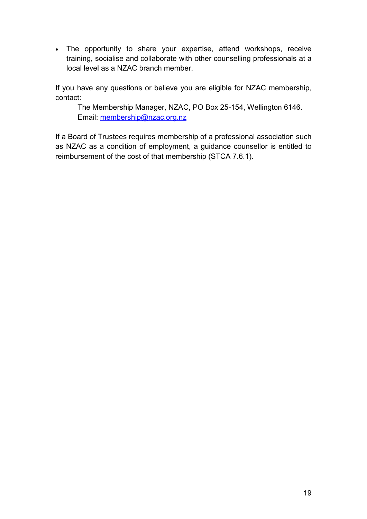• The opportunity to share your expertise, attend workshops, receive training, socialise and collaborate with other counselling professionals at a local level as a NZAC branch member.

If you have any questions or believe you are eligible for NZAC membership, contact:

The Membership Manager, NZAC, PO Box 25-154, Wellington 6146. Email: [membership@nzac.org.nz](mailto:membership@nzac.org.nz)

If a Board of Trustees requires membership of a professional association such as NZAC as a condition of employment, a guidance counsellor is entitled to reimbursement of the cost of that membership (STCA 7.6.1).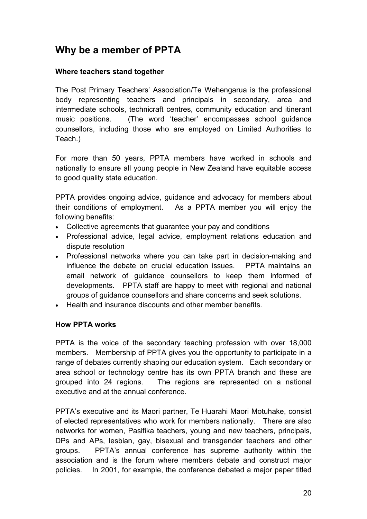# <span id="page-21-0"></span>**Why be a member of PPTA**

### **Where teachers stand together**

The Post Primary Teachers' Association/Te Wehengarua is the professional body representing teachers and principals in secondary, area and intermediate schools, technicraft centres, community education and itinerant music positions. (The word 'teacher' encompasses school guidance counsellors, including those who are employed on Limited Authorities to Teach.)

For more than 50 years, PPTA members have worked in schools and nationally to ensure all young people in New Zealand have equitable access to good quality state education.

PPTA provides ongoing advice, guidance and advocacy for members about their conditions of employment. As a PPTA member you will enjoy the following benefits:

- Collective agreements that guarantee your pay and conditions
- Professional advice, legal advice, employment relations education and dispute resolution
- Professional networks where you can take part in decision-making and influence the debate on crucial education issues. PPTA maintains an email network of guidance counsellors to keep them informed of developments. PPTA staff are happy to meet with regional and national groups of guidance counsellors and share concerns and seek solutions.
- Health and insurance discounts and other member benefits.

### **How PPTA works**

PPTA is the voice of the secondary teaching profession with over 18,000 members. Membership of PPTA gives you the opportunity to participate in a range of debates currently shaping our education system. Each secondary or area school or technology centre has its own PPTA branch and these are grouped into 24 regions. The regions are represented on a national executive and at the annual conference.

PPTA's executive and its Maori partner, Te Huarahi Maori Motuhake, consist of elected representatives who work for members nationally. There are also networks for women, Pasifika teachers, young and new teachers, principals, DPs and APs, lesbian, gay, bisexual and transgender teachers and other groups. PPTA's annual conference has supreme authority within the association and is the forum where members debate and construct major policies. In 2001, for example, the conference debated a major paper titled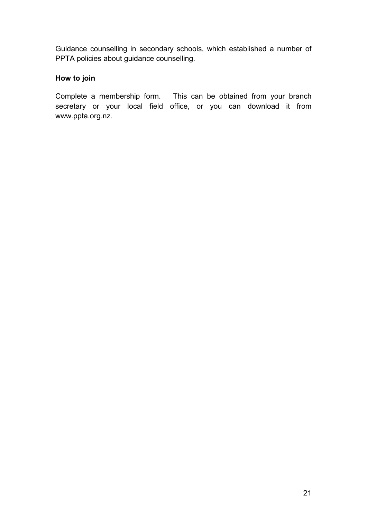Guidance counselling in secondary schools, which established a number of PPTA policies about guidance counselling.

# **How to join**

Complete a membership form. This can be obtained from your branch secretary or your local field office, or you can download it from www.ppta.org.nz.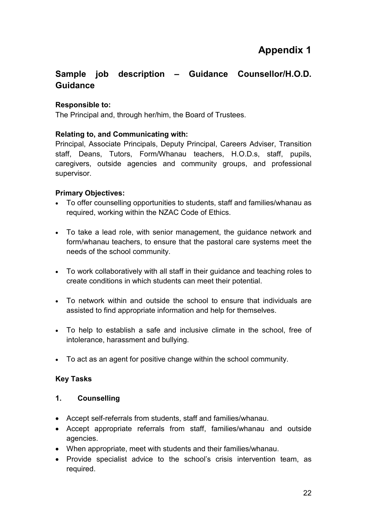# **Sample job description – Guidance Counsellor/H.O.D. Guidance**

# **Responsible to:**

The Principal and, through her/him, the Board of Trustees.

# **Relating to, and Communicating with:**

Principal, Associate Principals, Deputy Principal, Careers Adviser, Transition staff, Deans, Tutors, Form/Whanau teachers, H.O.D.s, staff, pupils, caregivers, outside agencies and community groups, and professional supervisor.

# **Primary Objectives:**

- To offer counselling opportunities to students, staff and families/whanau as required, working within the NZAC Code of Ethics.
- To take a lead role, with senior management, the guidance network and form/whanau teachers, to ensure that the pastoral care systems meet the needs of the school community.
- To work collaboratively with all staff in their guidance and teaching roles to create conditions in which students can meet their potential.
- To network within and outside the school to ensure that individuals are assisted to find appropriate information and help for themselves.
- To help to establish a safe and inclusive climate in the school, free of intolerance, harassment and bullying.
- To act as an agent for positive change within the school community.

# **Key Tasks**

# **1. Counselling**

- Accept self-referrals from students, staff and families/whanau.
- Accept appropriate referrals from staff, families/whanau and outside agencies.
- When appropriate, meet with students and their families/whanau.
- Provide specialist advice to the school's crisis intervention team, as required.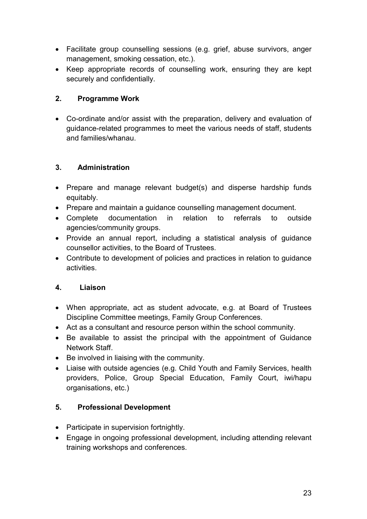- Facilitate group counselling sessions (e.g. grief, abuse survivors, anger management, smoking cessation, etc.).
- Keep appropriate records of counselling work, ensuring they are kept securely and confidentially.

# **2. Programme Work**

• Co-ordinate and/or assist with the preparation, delivery and evaluation of guidance-related programmes to meet the various needs of staff, students and families/whanau.

# **3. Administration**

- Prepare and manage relevant budget(s) and disperse hardship funds equitably.
- Prepare and maintain a guidance counselling management document.
- Complete documentation in relation to referrals to outside agencies/community groups.
- Provide an annual report, including a statistical analysis of guidance counsellor activities, to the Board of Trustees.
- Contribute to development of policies and practices in relation to guidance activities.

# **4. Liaison**

- When appropriate, act as student advocate, e.g. at Board of Trustees Discipline Committee meetings, Family Group Conferences.
- Act as a consultant and resource person within the school community.
- Be available to assist the principal with the appointment of Guidance Network Staff.
- Be involved in liaising with the community.
- Liaise with outside agencies (e.g. Child Youth and Family Services, health providers, Police, Group Special Education, Family Court, iwi/hapu organisations, etc.)

# **5. Professional Development**

- Participate in supervision fortnightly.
- Engage in ongoing professional development, including attending relevant training workshops and conferences.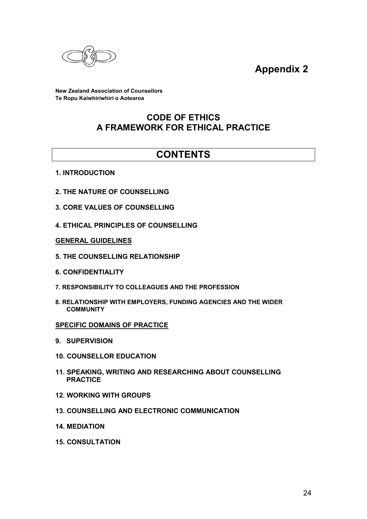

**Appendix 2**

**New Zealand Association of Counsellors Te Ropu Kaiwhiriwhiri o Aotearoa**

# **CODE OF ETHICS A FRAMEWORK FOR ETHICAL PRACTICE**

# **CONTENTS**

- **1. INTRODUCTION**
- **2. THE NATURE OF COUNSELLING**
- **3. CORE VALUES OF COUNSELLING**
- **4. ETHICAL PRINCIPLES OF COUNSELLING**

#### **GENERAL GUIDELINES**

- **5. THE COUNSELLING RELATIONSHIP**
- **6. CONFIDENTIALITY**
- **7. RESPONSIBILITY TO COLLEAGUES AND THE PROFESSION**
- **8. RELATIONSHIP WITH EMPLOYERS, FUNDING AGENCIES AND THE WIDER COMMUNITY**

#### **SPECIFIC DOMAINS OF PRACTICE**

- **9. SUPERVISION**
- **10. COUNSELLOR EDUCATION**
- **11. SPEAKING, WRITING AND RESEARCHING ABOUT COUNSELLING PRACTICE**
- **12. WORKING WITH GROUPS**
- **13. COUNSELLING AND ELECTRONIC COMMUNICATION**
- **14. MEDIATION**
- **15. CONSULTATION**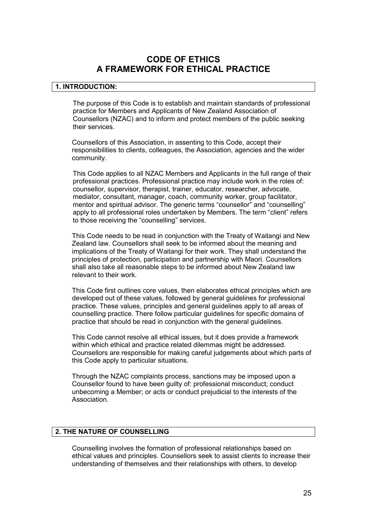# **CODE OF ETHICS A FRAMEWORK FOR ETHICAL PRACTICE**

#### **1. INTRODUCTION:**

The purpose of this Code is to establish and maintain standards of professional practice for Members and Applicants of New Zealand Association of Counsellors (NZAC) and to inform and protect members of the public seeking their services.

Counsellors of this Association, in assenting to this Code, accept their responsibilities to clients, colleagues, the Association, agencies and the wider community.

This Code applies to all NZAC Members and Applicants in the full range of their professional practices. Professional practice may include work in the roles of: counsellor, supervisor, therapist, trainer, educator, researcher, advocate, mediator, consultant, manager, coach, community worker, group facilitator, mentor and spiritual advisor. The generic terms "counsellor" and "counselling" apply to all professional roles undertaken by Members. The term "client" refers to those receiving the "counselling" services.

This Code needs to be read in conjunction with the Treaty of Waitangi and New Zealand law. Counsellors shall seek to be informed about the meaning and implications of the Treaty of Waitangi for their work. They shall understand the principles of protection, participation and partnership with Maori. Counsellors shall also take all reasonable steps to be informed about New Zealand law relevant to their work.

This Code first outlines core values, then elaborates ethical principles which are developed out of these values, followed by general guidelines for professional practice. These values, principles and general guidelines apply to all areas of counselling practice. There follow particular guidelines for specific domains of practice that should be read in conjunction with the general guidelines.

This Code cannot resolve all ethical issues, but it does provide a framework within which ethical and practice related dilemmas might be addressed. Counsellors are responsible for making careful judgements about which parts of this Code apply to particular situations.

Through the NZAC complaints process, sanctions may be imposed upon a Counsellor found to have been guilty of: professional misconduct; conduct unbecoming a Member; or acts or conduct prejudicial to the interests of the Association.

#### **2. THE NATURE OF COUNSELLING**

Counselling involves the formation of professional relationships based on ethical values and principles. Counsellors seek to assist clients to increase their understanding of themselves and their relationships with others, to develop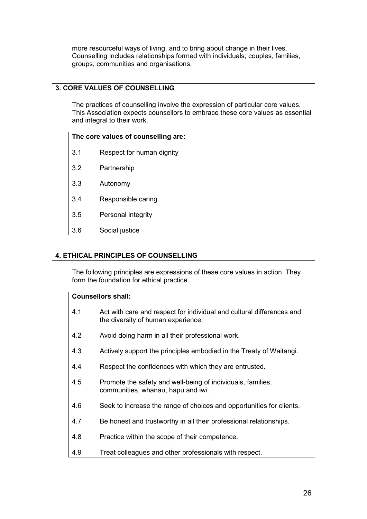more resourceful ways of living, and to bring about change in their lives. Counselling includes relationships formed with individuals, couples, families, groups, communities and organisations.

#### **3. CORE VALUES OF COUNSELLING**

The practices of counselling involve the expression of particular core values. This Association expects counsellors to embrace these core values as essential and integral to their work.

| The core values of counselling are: |                           |  |
|-------------------------------------|---------------------------|--|
| 3.1                                 | Respect for human dignity |  |
| 3.2                                 | Partnership               |  |
| 3.3                                 | Autonomy                  |  |
| 3.4                                 | Responsible caring        |  |
| 3.5                                 | Personal integrity        |  |
| 3.6                                 | Social justice            |  |
|                                     |                           |  |

### **4. ETHICAL PRINCIPLES OF COUNSELLING**

The following principles are expressions of these core values in action. They form the foundation for ethical practice.

| <b>Counsellors shall:</b> |  |
|---------------------------|--|
|---------------------------|--|

| 4.1 | Act with care and respect for individual and cultural differences and<br>the diversity of human experience. |
|-----|-------------------------------------------------------------------------------------------------------------|
| 4.2 | Avoid doing harm in all their professional work.                                                            |
| 4.3 | Actively support the principles embodied in the Treaty of Waitangi.                                         |
| 4.4 | Respect the confidences with which they are entrusted.                                                      |
| 4.5 | Promote the safety and well-being of individuals, families,<br>communities, whanau, hapu and iwi.           |
| 4.6 | Seek to increase the range of choices and opportunities for clients.                                        |
| 4.7 | Be honest and trustworthy in all their professional relationships.                                          |
| 4.8 | Practice within the scope of their competence.                                                              |
| 4.9 | Treat colleagues and other professionals with respect.                                                      |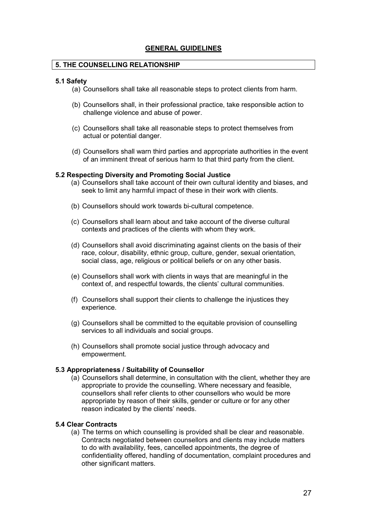#### **GENERAL GUIDELINES**

#### **5. THE COUNSELLING RELATIONSHIP**

#### **5.1 Safety**

- (a) Counsellors shall take all reasonable steps to protect clients from harm.
- (b) Counsellors shall, in their professional practice, take responsible action to challenge violence and abuse of power.
- (c) Counsellors shall take all reasonable steps to protect themselves from actual or potential danger.
- (d) Counsellors shall warn third parties and appropriate authorities in the event of an imminent threat of serious harm to that third party from the client.

#### **5.2 Respecting Diversity and Promoting Social Justice**

- (a) Counsellors shall take account of their own cultural identity and biases, and seek to limit any harmful impact of these in their work with clients.
- (b) Counsellors should work towards bi-cultural competence.
- (c) Counsellors shall learn about and take account of the diverse cultural contexts and practices of the clients with whom they work.
- (d) Counsellors shall avoid discriminating against clients on the basis of their race, colour, disability, ethnic group, culture, gender, sexual orientation, social class, age, religious or political beliefs or on any other basis.
- (e) Counsellors shall work with clients in ways that are meaningful in the context of, and respectful towards, the clients' cultural communities.
- (f) Counsellors shall support their clients to challenge the injustices they experience.
- (g) Counsellors shall be committed to the equitable provision of counselling services to all individuals and social groups.
- (h) Counsellors shall promote social justice through advocacy and empowerment.

#### **5.3 Appropriateness / Suitability of Counsellor**

(a) Counsellors shall determine, in consultation with the client, whether they are appropriate to provide the counselling. Where necessary and feasible, counsellors shall refer clients to other counsellors who would be more appropriate by reason of their skills, gender or culture or for any other reason indicated by the clients' needs.

#### **5.4 Clear Contracts**

(a) The terms on which counselling is provided shall be clear and reasonable. Contracts negotiated between counsellors and clients may include matters to do with availability, fees, cancelled appointments, the degree of confidentiality offered, handling of documentation, complaint procedures and other significant matters.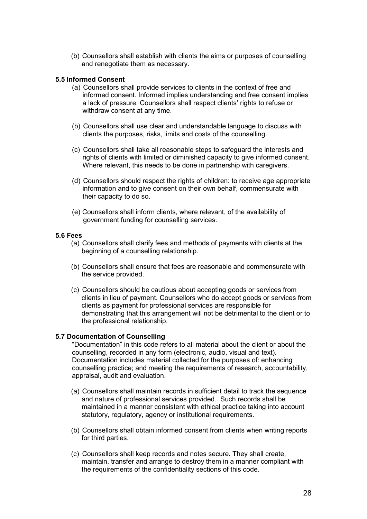(b) Counsellors shall establish with clients the aims or purposes of counselling and renegotiate them as necessary.

#### **5.5 Informed Consent**

- (a) Counsellors shall provide services to clients in the context of free and informed consent. Informed implies understanding and free consent implies a lack of pressure. Counsellors shall respect clients' rights to refuse or withdraw consent at any time.
- (b) Counsellors shall use clear and understandable language to discuss with clients the purposes, risks, limits and costs of the counselling.
- (c) Counsellors shall take all reasonable steps to safeguard the interests and rights of clients with limited or diminished capacity to give informed consent. Where relevant, this needs to be done in partnership with caregivers.
- (d) Counsellors should respect the rights of children: to receive age appropriate information and to give consent on their own behalf, commensurate with their capacity to do so.
- (e) Counsellors shall inform clients, where relevant, of the availability of government funding for counselling services.

#### **5.6 Fees**

- (a) Counsellors shall clarify fees and methods of payments with clients at the beginning of a counselling relationship.
- (b) Counsellors shall ensure that fees are reasonable and commensurate with the service provided.
- (c) Counsellors should be cautious about accepting goods or services from clients in lieu of payment. Counsellors who do accept goods or services from clients as payment for professional services are responsible for demonstrating that this arrangement will not be detrimental to the client or to the professional relationship.

#### **5.7 Documentation of Counselling**

"Documentation" in this code refers to all material about the client or about the counselling, recorded in any form (electronic, audio, visual and text). Documentation includes material collected for the purposes of: enhancing counselling practice; and meeting the requirements of research, accountability, appraisal, audit and evaluation.

- (a) Counsellors shall maintain records in sufficient detail to track the sequence and nature of professional services provided. Such records shall be maintained in a manner consistent with ethical practice taking into account statutory, regulatory, agency or institutional requirements.
- (b) Counsellors shall obtain informed consent from clients when writing reports for third parties.
- (c) Counsellors shall keep records and notes secure. They shall create, maintain, transfer and arrange to destroy them in a manner compliant with the requirements of the confidentiality sections of this code.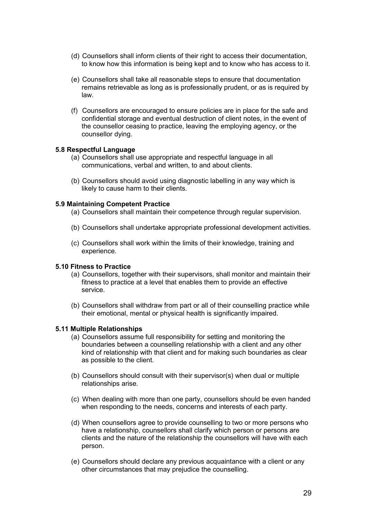- (d) Counsellors shall inform clients of their right to access their documentation, to know how this information is being kept and to know who has access to it.
- (e) Counsellors shall take all reasonable steps to ensure that documentation remains retrievable as long as is professionally prudent, or as is required by law.
- (f) Counsellors are encouraged to ensure policies are in place for the safe and confidential storage and eventual destruction of client notes, in the event of the counsellor ceasing to practice, leaving the employing agency, or the counsellor dying.

#### **5.8 Respectful Language**

- (a) Counsellors shall use appropriate and respectful language in all communications, verbal and written, to and about clients.
- (b) Counsellors should avoid using diagnostic labelling in any way which is likely to cause harm to their clients.

#### **5.9 Maintaining Competent Practice**

- (a) Counsellors shall maintain their competence through regular supervision.
- (b) Counsellors shall undertake appropriate professional development activities.
- (c) Counsellors shall work within the limits of their knowledge, training and experience.

#### **5.10 Fitness to Practice**

- (a) Counsellors, together with their supervisors, shall monitor and maintain their fitness to practice at a level that enables them to provide an effective service.
- (b) Counsellors shall withdraw from part or all of their counselling practice while their emotional, mental or physical health is significantly impaired.

#### **5.11 Multiple Relationships**

- (a) Counsellors assume full responsibility for setting and monitoring the boundaries between a counselling relationship with a client and any other kind of relationship with that client and for making such boundaries as clear as possible to the client.
- (b) Counsellors should consult with their supervisor(s) when dual or multiple relationships arise.
- (c) When dealing with more than one party, counsellors should be even handed when responding to the needs, concerns and interests of each party.
- (d) When counsellors agree to provide counselling to two or more persons who have a relationship, counsellors shall clarify which person or persons are clients and the nature of the relationship the counsellors will have with each person.
- (e) Counsellors should declare any previous acquaintance with a client or any other circumstances that may prejudice the counselling.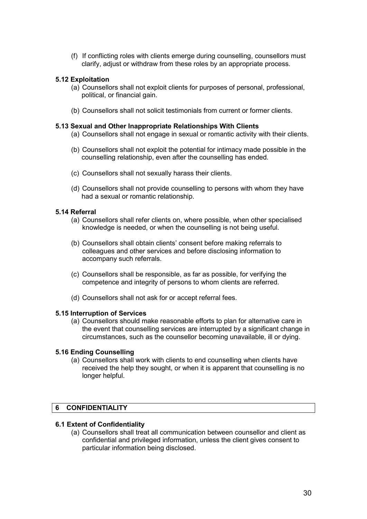(f) If conflicting roles with clients emerge during counselling, counsellors must clarify, adjust or withdraw from these roles by an appropriate process.

#### **5.12 Exploitation**

- (a) Counsellors shall not exploit clients for purposes of personal, professional, political, or financial gain.
- (b) Counsellors shall not solicit testimonials from current or former clients.

#### **5.13 Sexual and Other Inappropriate Relationships With Clients**

- (a) Counsellors shall not engage in sexual or romantic activity with their clients.
- (b) Counsellors shall not exploit the potential for intimacy made possible in the counselling relationship, even after the counselling has ended.
- (c) Counsellors shall not sexually harass their clients.
- (d) Counsellors shall not provide counselling to persons with whom they have had a sexual or romantic relationship.

#### **5.14 Referral**

- (a) Counsellors shall refer clients on, where possible, when other specialised knowledge is needed, or when the counselling is not being useful.
- (b) Counsellors shall obtain clients' consent before making referrals to colleagues and other services and before disclosing information to accompany such referrals.
- (c) Counsellors shall be responsible, as far as possible, for verifying the competence and integrity of persons to whom clients are referred.
- (d) Counsellors shall not ask for or accept referral fees.

#### **5.15 Interruption of Services**

(a) Counsellors should make reasonable efforts to plan for alternative care in the event that counselling services are interrupted by a significant change in circumstances, such as the counsellor becoming unavailable, ill or dying.

#### **5.16 Ending Counselling**

(a) Counsellors shall work with clients to end counselling when clients have received the help they sought, or when it is apparent that counselling is no longer helpful.

### **6 CONFIDENTIALITY**

#### **6.1 Extent of Confidentiality**

(a) Counsellors shall treat all communication between counsellor and client as confidential and privileged information, unless the client gives consent to particular information being disclosed.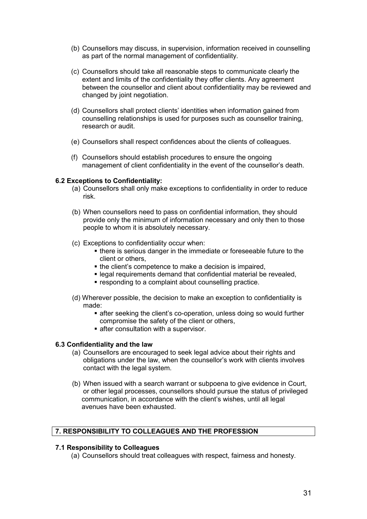- (b) Counsellors may discuss, in supervision, information received in counselling as part of the normal management of confidentiality.
- (c) Counsellors should take all reasonable steps to communicate clearly the extent and limits of the confidentiality they offer clients. Any agreement between the counsellor and client about confidentiality may be reviewed and changed by joint negotiation.
- (d) Counsellors shall protect clients' identities when information gained from counselling relationships is used for purposes such as counsellor training, research or audit.
- (e) Counsellors shall respect confidences about the clients of colleagues.
- (f) Counsellors should establish procedures to ensure the ongoing management of client confidentiality in the event of the counsellor's death.

#### **6.2 Exceptions to Confidentiality:**

- (a) Counsellors shall only make exceptions to confidentiality in order to reduce risk.
- (b) When counsellors need to pass on confidential information, they should provide only the minimum of information necessary and only then to those people to whom it is absolutely necessary.
- (c) Exceptions to confidentiality occur when:
	- there is serious danger in the immediate or foreseeable future to the client or others,
	- the client's competence to make a decision is impaired,
	- legal requirements demand that confidential material be revealed,
	- **responding to a complaint about counselling practice.**
- (d) Wherever possible, the decision to make an exception to confidentiality is made:
	- after seeking the client's co-operation, unless doing so would further compromise the safety of the client or others,
	- **Example 2 after consultation with a supervisor.**

#### **6.3 Confidentiality and the law**

- (a) Counsellors are encouraged to seek legal advice about their rights and obligations under the law, when the counsellor's work with clients involves contact with the legal system.
- (b) When issued with a search warrant or subpoena to give evidence in Court, or other legal processes, counsellors should pursue the status of privileged communication, in accordance with the client's wishes, until all legal avenues have been exhausted.

### **7. RESPONSIBILITY TO COLLEAGUES AND THE PROFESSION**

#### **7.1 Responsibility to Colleagues**

(a) Counsellors should treat colleagues with respect, fairness and honesty.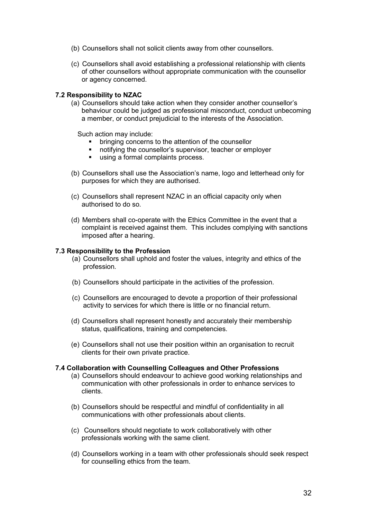- (b) Counsellors shall not solicit clients away from other counsellors.
- (c) Counsellors shall avoid establishing a professional relationship with clients of other counsellors without appropriate communication with the counsellor or agency concerned.

#### **7.2 Responsibility to NZAC**

(a) Counsellors should take action when they consider another counsellor's behaviour could be judged as professional misconduct, conduct unbecoming a member, or conduct prejudicial to the interests of the Association.

Such action may include:

- **•** bringing concerns to the attention of the counsellor
- notifying the counsellor's supervisor, teacher or employer
- using a formal complaints process.
- (b) Counsellors shall use the Association's name, logo and letterhead only for purposes for which they are authorised.
- (c) Counsellors shall represent NZAC in an official capacity only when authorised to do so.
- (d) Members shall co-operate with the Ethics Committee in the event that a complaint is received against them. This includes complying with sanctions imposed after a hearing.

#### **7.3 Responsibility to the Profession**

- (a) Counsellors shall uphold and foster the values, integrity and ethics of the profession.
- (b) Counsellors should participate in the activities of the profession.
- (c) Counsellors are encouraged to devote a proportion of their professional activity to services for which there is little or no financial return.
- (d) Counsellors shall represent honestly and accurately their membership status, qualifications, training and competencies.
- (e) Counsellors shall not use their position within an organisation to recruit clients for their own private practice.

#### **7.4 Collaboration with Counselling Colleagues and Other Professions**

- (a) Counsellors should endeavour to achieve good working relationships and communication with other professionals in order to enhance services to clients.
- (b) Counsellors should be respectful and mindful of confidentiality in all communications with other professionals about clients.
- (c) Counsellors should negotiate to work collaboratively with other professionals working with the same client.
- (d) Counsellors working in a team with other professionals should seek respect for counselling ethics from the team.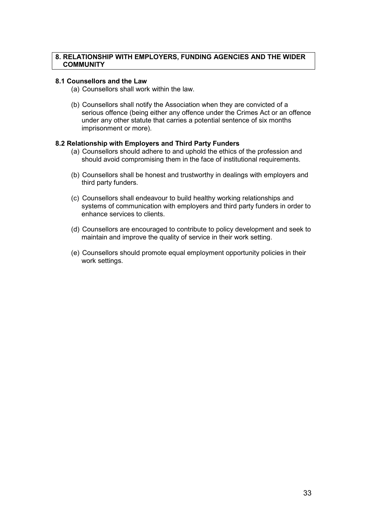#### **8. RELATIONSHIP WITH EMPLOYERS, FUNDING AGENCIES AND THE WIDER COMMUNITY**

#### **8.1 Counsellors and the Law**

- (a) Counsellors shall work within the law.
- (b) Counsellors shall notify the Association when they are convicted of a serious offence (being either any offence under the Crimes Act or an offence under any other statute that carries a potential sentence of six months imprisonment or more).

#### **8.2 Relationship with Employers and Third Party Funders**

- (a) Counsellors should adhere to and uphold the ethics of the profession and should avoid compromising them in the face of institutional requirements.
- (b) Counsellors shall be honest and trustworthy in dealings with employers and third party funders.
- (c) Counsellors shall endeavour to build healthy working relationships and systems of communication with employers and third party funders in order to enhance services to clients.
- (d) Counsellors are encouraged to contribute to policy development and seek to maintain and improve the quality of service in their work setting.
- (e) Counsellors should promote equal employment opportunity policies in their work settings.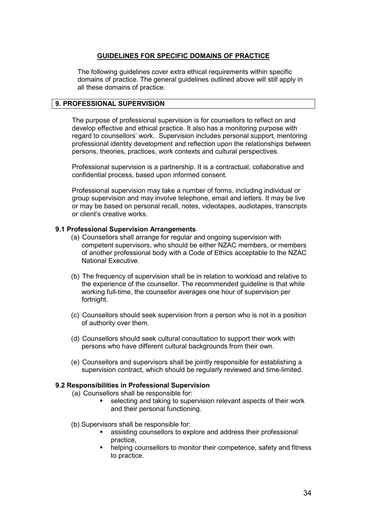#### **GUIDELINES FOR SPECIFIC DOMAINS OF PRACTICE**

The following guidelines cover extra ethical requirements within specific domains of practice. The general guidelines outlined above will still apply in all these domains of practice.

#### **9. PROFESSIONAL SUPERVISION**

The purpose of professional supervision is for counsellors to reflect on and develop effective and ethical practice. It also has a monitoring purpose with regard to counsellors' work. Supervision includes personal support, mentoring professional identity development and reflection upon the relationships between persons, theories, practices, work contexts and cultural perspectives.

Professional supervision is a partnership. It is a contractual, collaborative and confidential process, based upon informed consent.

Professional supervision may take a number of forms, including individual or group supervision and may involve telephone, email and letters. It may be live or may be based on personal recall, notes, videotapes, audiotapes, transcripts or client's creative works.

#### **9.1 Professional Supervision Arrangements**

- (a) Counsellors shall arrange for regular and ongoing supervision with competent supervisors, who should be either NZAC members, or members of another professional body with a Code of Ethics acceptable to the NZAC National Executive.
- (b) The frequency of supervision shall be in relation to workload and relative to the experience of the counsellor. The recommended guideline is that while working full-time, the counsellor averages one hour of supervision per fortnight.
- (c) Counsellors should seek supervision from a person who is not in a position of authority over them.
- (d) Counsellors should seek cultural consultation to support their work with persons who have different cultural backgrounds from their own.
- (e) Counsellors and supervisors shall be jointly responsible for establishing a supervision contract, which should be regularly reviewed and time-limited.

#### **9.2 Responsibilities in Professional Supervision**

- (a) Counsellors shall be responsible for:
	- selecting and taking to supervision relevant aspects of their work and their personal functioning.
- (b) Supervisors shall be responsible for:
	- assisting counsellors to explore and address their professional practice,
	- helping counsellors to monitor their competence, safety and fitness to practice.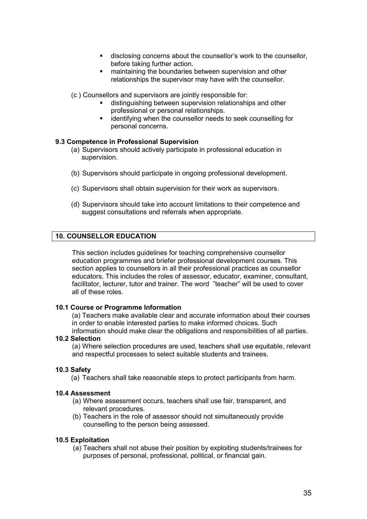- disclosing concerns about the counsellor's work to the counsellor, before taking further action.
- **EXECT** maintaining the boundaries between supervision and other relationships the supervisor may have with the counsellor.
- (c ) Counsellors and supervisors are jointly responsible for:
	- distinguishing between supervision relationships and other professional or personal relationships.
	- **EXEDENT** identifying when the counsellor needs to seek counselling for personal concerns.

#### **9.3 Competence in Professional Supervision**

- (a) Supervisors should actively participate in professional education in supervision.
- (b) Supervisors should participate in ongoing professional development.
- (c) Supervisors shall obtain supervision for their work as supervisors.
- (d) Supervisors should take into account limitations to their competence and suggest consultations and referrals when appropriate.

#### **10. COUNSELLOR EDUCATION**

This section includes guidelines for teaching comprehensive counsellor education programmes and briefer professional development courses. This section applies to counsellors in all their professional practices as counsellor educators. This includes the roles of assessor, educator, examiner, consultant, facilitator, lecturer, tutor and trainer. The word "teacher" will be used to cover all of these roles.

#### **10.1 Course or Programme Information**

(a) Teachers make available clear and accurate information about their courses in order to enable interested parties to make informed choices. Such information should make clear the obligations and responsibilities of all parties.

#### **10.2 Selection**

(a) Where selection procedures are used, teachers shall use equitable, relevant and respectful processes to select suitable students and trainees.

#### **10.3 Safety**

(a) Teachers shall take reasonable steps to protect participants from harm.

#### **10.4 Assessment**

- (a) Where assessment occurs, teachers shall use fair, transparent, and relevant procedures.
- (b) Teachers in the role of assessor should not simultaneously provide counselling to the person being assessed.

#### **10.5 Exploitation**

(a) Teachers shall not abuse their position by exploiting students/trainees for purposes of personal, professional, political, or financial gain.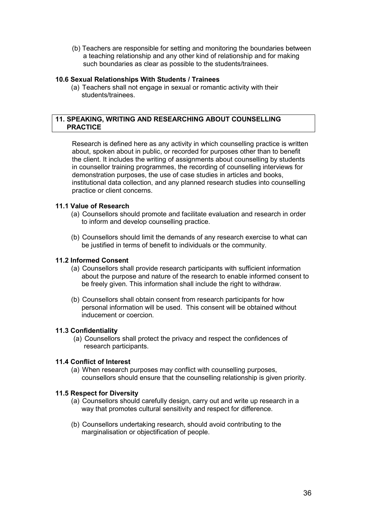(b) Teachers are responsible for setting and monitoring the boundaries between a teaching relationship and any other kind of relationship and for making such boundaries as clear as possible to the students/trainees.

#### **10.6 Sexual Relationships With Students / Trainees**

(a) Teachers shall not engage in sexual or romantic activity with their students/trainees.

#### **11. SPEAKING, WRITING AND RESEARCHING ABOUT COUNSELLING PRACTICE**

Research is defined here as any activity in which counselling practice is written about, spoken about in public, or recorded for purposes other than to benefit the client. It includes the writing of assignments about counselling by students in counsellor training programmes, the recording of counselling interviews for demonstration purposes, the use of case studies in articles and books, institutional data collection, and any planned research studies into counselling practice or client concerns.

#### **11.1 Value of Research**

- (a) Counsellors should promote and facilitate evaluation and research in order to inform and develop counselling practice.
- (b) Counsellors should limit the demands of any research exercise to what can be justified in terms of benefit to individuals or the community.

#### **11.2 Informed Consent**

- (a) Counsellors shall provide research participants with sufficient information about the purpose and nature of the research to enable informed consent to be freely given. This information shall include the right to withdraw.
- (b) Counsellors shall obtain consent from research participants for how personal information will be used. This consent will be obtained without inducement or coercion.

#### **11.3 Confidentiality**

(a) Counsellors shall protect the privacy and respect the confidences of research participants.

#### **11.4 Conflict of Interest**

(a) When research purposes may conflict with counselling purposes, counsellors should ensure that the counselling relationship is given priority.

#### **11.5 Respect for Diversity**

- (a) Counsellors should carefully design, carry out and write up research in a way that promotes cultural sensitivity and respect for difference.
- (b) Counsellors undertaking research, should avoid contributing to the marginalisation or objectification of people.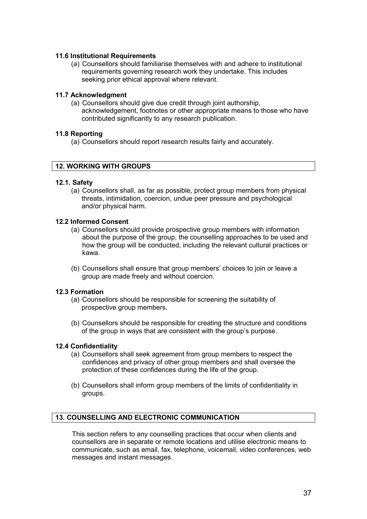#### **11.6 Institutional Requirements**

(a) Counsellors should familiarise themselves with and adhere to institutional requirements governing research work they undertake. This includes seeking prior ethical approval where relevant.

#### **11.7 Acknowledgment**

(a) Counsellors should give due credit through joint authorship, acknowledgement, footnotes or other appropriate means to those who have contributed significantly to any research publication.

#### **11.8 Reporting**

(a) Counsellors should report research results fairly and accurately.

#### **12. WORKING WITH GROUPS**

#### **12.1. Safety**

(a) Counsellors shall, as far as possible, protect group members from physical threats, intimidation, coercion, undue peer pressure and psychological and/or physical harm.

#### **12.2 Informed Consent**

- (a) Counsellors should provide prospective group members with information about the purpose of the group, the counselling approaches to be used and how the group will be conducted, including the relevant cultural practices or kawa.
- (b) Counsellors shall ensure that group members' choices to join or leave a group are made freely and without coercion.

#### **12.3 Formation**

- (a) Counsellors should be responsible for screening the suitability of prospective group members.
- (b) Counsellors should be responsible for creating the structure and conditions of the group in ways that are consistent with the group's purpose.

#### **12.4 Confidentiality**

- (a) Counsellors shall seek agreement from group members to respect the confidences and privacy of other group members and shall oversee the protection of these confidences during the life of the group.
- (b) Counsellors shall inform group members of the limits of confidentiality in groups.

#### **13. COUNSELLING AND ELECTRONIC COMMUNICATION**

This section refers to any counselling practices that occur when clients and counsellors are in separate or remote locations and utilise electronic means to communicate, such as email, fax, telephone, voicemail, video conferences, web messages and instant messages.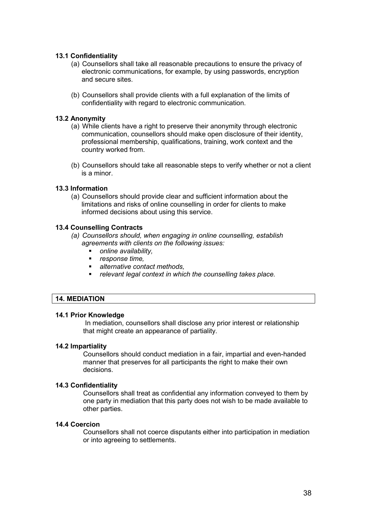#### **13.1 Confidentiality**

- (a) Counsellors shall take all reasonable precautions to ensure the privacy of electronic communications, for example, by using passwords, encryption and secure sites.
- (b) Counsellors shall provide clients with a full explanation of the limits of confidentiality with regard to electronic communication.

#### **13.2 Anonymity**

- (a) While clients have a right to preserve their anonymity through electronic communication, counsellors should make open disclosure of their identity, professional membership, qualifications, training, work context and the country worked from.
- (b) Counsellors should take all reasonable steps to verify whether or not a client is a minor.

#### **13.3 Information**

(a) Counsellors should provide clear and sufficient information about the limitations and risks of online counselling in order for clients to make informed decisions about using this service.

#### **13.4 Counselling Contracts**

- *(a) Counsellors should, when engaging in online counselling, establish agreements with clients on the following issues:* 
	- *online availability,*
	- *response time,*
	- *alternative contact methods,*
	- *relevant legal context in which the counselling takes place.*

#### **14. MEDIATION**

#### **14.1 Prior Knowledge**

In mediation, counsellors shall disclose any prior interest or relationship that might create an appearance of partiality.

#### **14.2 Impartiality**

Counsellors should conduct mediation in a fair, impartial and even-handed manner that preserves for all participants the right to make their own decisions.

#### **14.3 Confidentiality**

Counsellors shall treat as confidential any information conveyed to them by one party in mediation that this party does not wish to be made available to other parties.

#### **14.4 Coercion**

Counsellors shall not coerce disputants either into participation in mediation or into agreeing to settlements.